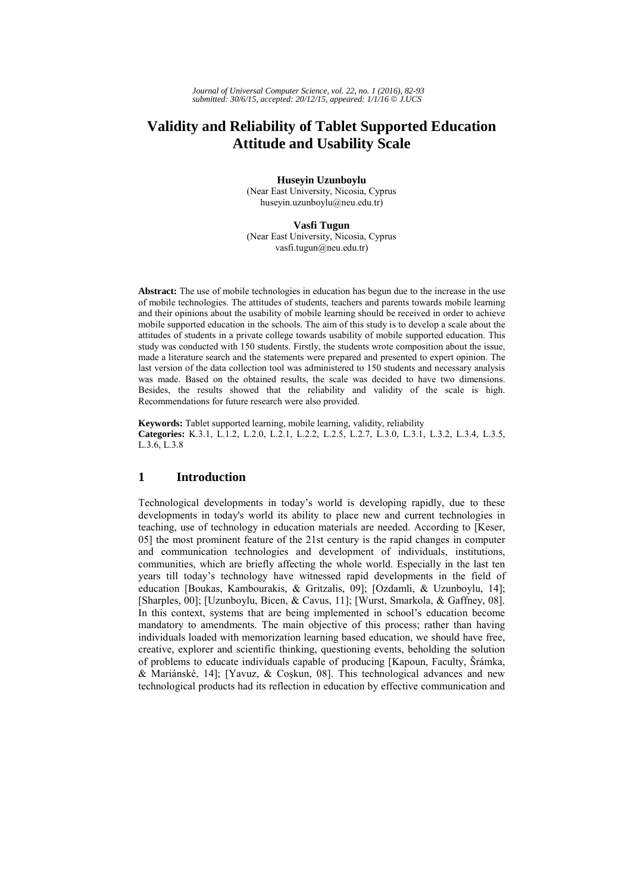# **Validity and Reliability of Tablet Supported Education Attitude and Usability Scale**

**Huseyin Uzunboylu** 

(Near East University, Nicosia, Cyprus huseyin.uzunboylu@neu.edu.tr)

**Vasfi Tugun** (Near East University, Nicosia, Cyprus vasfi.tugun@neu.edu.tr)

**Abstract:** The use of mobile technologies in education has begun due to the increase in the use of mobile technologies. The attitudes of students, teachers and parents towards mobile learning and their opinions about the usability of mobile learning should be received in order to achieve mobile supported education in the schools. The aim of this study is to develop a scale about the attitudes of students in a private college towards usability of mobile supported education. This study was conducted with 150 students. Firstly, the students wrote composition about the issue, made a literature search and the statements were prepared and presented to expert opinion. The last version of the data collection tool was administered to 150 students and necessary analysis was made. Based on the obtained results, the scale was decided to have two dimensions. Besides, the results showed that the reliability and validity of the scale is high. Recommendations for future research were also provided.

**Keywords:** Tablet supported learning, mobile learning, validity, reliability **Categories:** K.3.1, L.1.2, L.2.0, L.2.1, L.2.2, L.2.5, L.2.7, L.3.0, L.3.1, L.3.2, L.3.4, L.3.5, L.3.6, L.3.8

# **1 Introduction**

Technological developments in today's world is developing rapidly, due to these developments in today's world its ability to place new and current technologies in teaching, use of technology in education materials are needed. According to [Keser, 05] the most prominent feature of the 21st century is the rapid changes in computer and communication technologies and development of individuals, institutions, communities, which are briefly affecting the whole world. Especially in the last ten years till today's technology have witnessed rapid developments in the field of education [Boukas, Kambourakis, & Gritzalis, 09]; [Ozdamli, & Uzunboylu, 14]; [Sharples, 00]; [Uzunboylu, Bicen, & Cavus, 11]; [Wurst, Smarkola, & Gaffney, 08]. In this context, systems that are being implemented in school's education become mandatory to amendments. The main objective of this process; rather than having individuals loaded with memorization learning based education, we should have free, creative, explorer and scientific thinking, questioning events, beholding the solution of problems to educate individuals capable of producing [Kapoun, Faculty, Šrámka, & Mariánské, 14]; [Yavuz, & Coşkun, 08]. This technological advances and new technological products had its reflection in education by effective communication and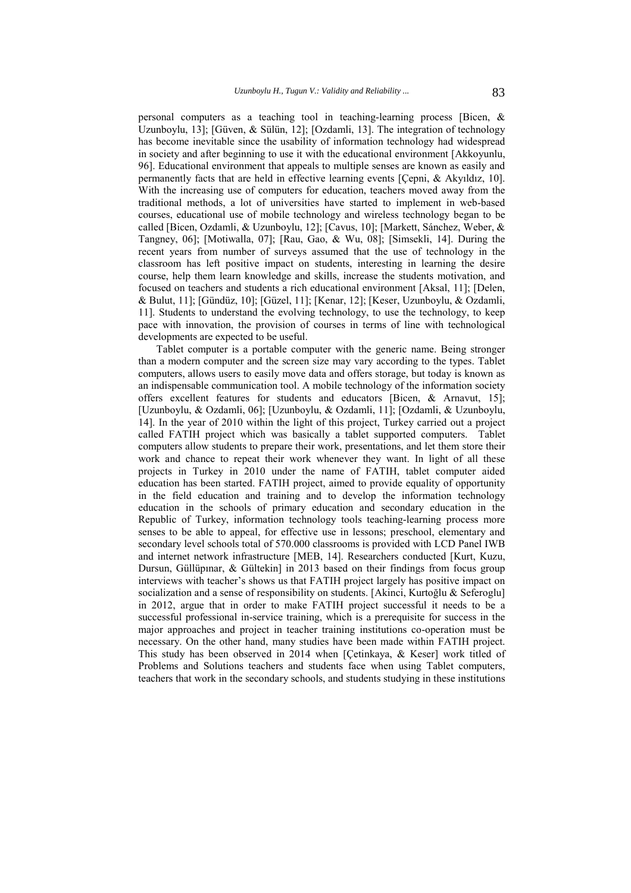personal computers as a teaching tool in teaching-learning process [Bicen, & Uzunboylu, 13]; [Güven, & Sülün, 12]; [Ozdamli, 13]. The integration of technology has become inevitable since the usability of information technology had widespread in society and after beginning to use it with the educational environment [Akkoyunlu, 96]. Educational environment that appeals to multiple senses are known as easily and permanently facts that are held in effective learning events [Çepni, & Akyıldız, 10]. With the increasing use of computers for education, teachers moved away from the traditional methods, a lot of universities have started to implement in web-based courses, educational use of mobile technology and wireless technology began to be called [Bicen, Ozdamli, & Uzunboylu, 12]; [Cavus, 10]; [Markett, Sánchez, Weber, & Tangney, 06]; [Motiwalla, 07]; [Rau, Gao, & Wu, 08]; [Simsekli, 14]. During the recent years from number of surveys assumed that the use of technology in the classroom has left positive impact on students, interesting in learning the desire course, help them learn knowledge and skills, increase the students motivation, and focused on teachers and students a rich educational environment [Aksal, 11]; [Delen, & Bulut, 11]; [Gündüz, 10]; [Güzel, 11]; [Kenar, 12]; [Keser, Uzunboylu, & Ozdamli, 11]. Students to understand the evolving technology, to use the technology, to keep pace with innovation, the provision of courses in terms of line with technological developments are expected to be useful.

Tablet computer is a portable computer with the generic name. Being stronger than a modern computer and the screen size may vary according to the types. Tablet computers, allows users to easily move data and offers storage, but today is known as an indispensable communication tool. A mobile technology of the information society offers excellent features for students and educators [Bicen, & Arnavut, 15]; [Uzunboylu, & Ozdamli, 06]; [Uzunboylu, & Ozdamli, 11]; [Ozdamli, & Uzunboylu, 14]. In the year of 2010 within the light of this project, Turkey carried out a project called FATIH project which was basically a tablet supported computers. Tablet computers allow students to prepare their work, presentations, and let them store their work and chance to repeat their work whenever they want. In light of all these projects in Turkey in 2010 under the name of FATIH, tablet computer aided education has been started. FATIH project, aimed to provide equality of opportunity in the field education and training and to develop the information technology education in the schools of primary education and secondary education in the Republic of Turkey, information technology tools teaching-learning process more senses to be able to appeal, for effective use in lessons; preschool, elementary and secondary level schools total of 570.000 classrooms is provided with LCD Panel IWB and internet network infrastructure [MEB, 14]. Researchers conducted [Kurt, Kuzu, Dursun, Güllüpınar, & Gültekin] in 2013 based on their findings from focus group interviews with teacher's shows us that FATIH project largely has positive impact on socialization and a sense of responsibility on students. [Akinci, Kurtoğlu & Seferoglu] in 2012, argue that in order to make FATIH project successful it needs to be a successful professional in-service training, which is a prerequisite for success in the major approaches and project in teacher training institutions co-operation must be necessary. On the other hand, many studies have been made within FATIH project. This study has been observed in 2014 when [Çetinkaya, & Keser] work titled of Problems and Solutions teachers and students face when using Tablet computers, teachers that work in the secondary schools, and students studying in these institutions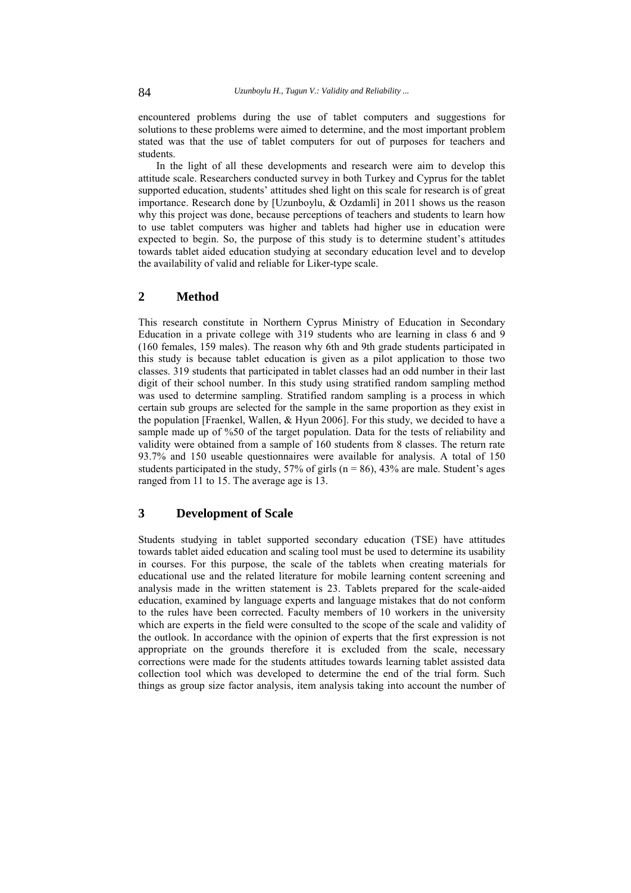encountered problems during the use of tablet computers and suggestions for solutions to these problems were aimed to determine, and the most important problem stated was that the use of tablet computers for out of purposes for teachers and students.

In the light of all these developments and research were aim to develop this attitude scale. Researchers conducted survey in both Turkey and Cyprus for the tablet supported education, students' attitudes shed light on this scale for research is of great importance. Research done by [Uzunboylu,  $& Ozdamli$ ] in 2011 shows us the reason why this project was done, because perceptions of teachers and students to learn how to use tablet computers was higher and tablets had higher use in education were expected to begin. So, the purpose of this study is to determine student's attitudes towards tablet aided education studying at secondary education level and to develop the availability of valid and reliable for Liker-type scale.

## **2 Method**

This research constitute in Northern Cyprus Ministry of Education in Secondary Education in a private college with 319 students who are learning in class 6 and 9 (160 females, 159 males). The reason why 6th and 9th grade students participated in this study is because tablet education is given as a pilot application to those two classes. 319 students that participated in tablet classes had an odd number in their last digit of their school number. In this study using stratified random sampling method was used to determine sampling. Stratified random sampling is a process in which certain sub groups are selected for the sample in the same proportion as they exist in the population [Fraenkel, Wallen, & Hyun 2006]. For this study, we decided to have a sample made up of %50 of the target population. Data for the tests of reliability and validity were obtained from a sample of 160 students from 8 classes. The return rate 93.7% and 150 useable questionnaires were available for analysis. A total of 150 students participated in the study, 57% of girls ( $n = 86$ ), 43% are male. Student's ages ranged from 11 to 15. The average age is 13.

### **3 Development of Scale**

Students studying in tablet supported secondary education (TSE) have attitudes towards tablet aided education and scaling tool must be used to determine its usability in courses. For this purpose, the scale of the tablets when creating materials for educational use and the related literature for mobile learning content screening and analysis made in the written statement is 23. Tablets prepared for the scale-aided education, examined by language experts and language mistakes that do not conform to the rules have been corrected. Faculty members of 10 workers in the university which are experts in the field were consulted to the scope of the scale and validity of the outlook. In accordance with the opinion of experts that the first expression is not appropriate on the grounds therefore it is excluded from the scale, necessary corrections were made for the students attitudes towards learning tablet assisted data collection tool which was developed to determine the end of the trial form. Such things as group size factor analysis, item analysis taking into account the number of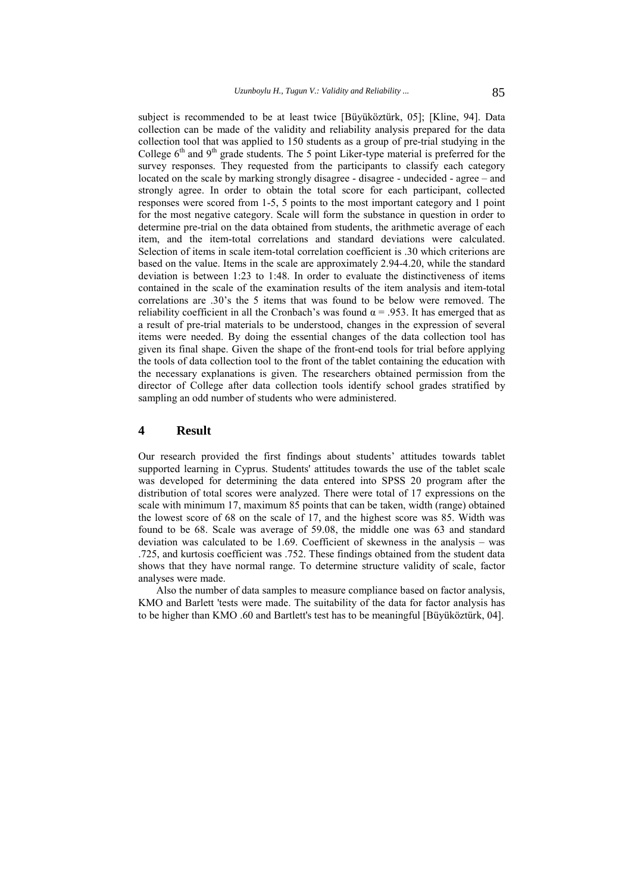subject is recommended to be at least twice [Büyüköztürk, 05]; [Kline, 94]. Data collection can be made of the validity and reliability analysis prepared for the data collection tool that was applied to 150 students as a group of pre-trial studying in the College  $6<sup>th</sup>$  and  $9<sup>th</sup>$  grade students. The 5 point Liker-type material is preferred for the survey responses. They requested from the participants to classify each category located on the scale by marking strongly disagree - disagree - undecided - agree – and strongly agree. In order to obtain the total score for each participant, collected responses were scored from 1-5, 5 points to the most important category and 1 point for the most negative category. Scale will form the substance in question in order to determine pre-trial on the data obtained from students, the arithmetic average of each item, and the item-total correlations and standard deviations were calculated. Selection of items in scale item-total correlation coefficient is .30 which criterions are based on the value. Items in the scale are approximately 2.94-4.20, while the standard deviation is between 1:23 to 1:48. In order to evaluate the distinctiveness of items contained in the scale of the examination results of the item analysis and item-total correlations are .30's the 5 items that was found to be below were removed. The reliability coefficient in all the Cronbach's was found  $\alpha = .953$ . It has emerged that as a result of pre-trial materials to be understood, changes in the expression of several items were needed. By doing the essential changes of the data collection tool has given its final shape. Given the shape of the front-end tools for trial before applying the tools of data collection tool to the front of the tablet containing the education with the necessary explanations is given. The researchers obtained permission from the director of College after data collection tools identify school grades stratified by sampling an odd number of students who were administered.

### **4 Result**

Our research provided the first findings about students' attitudes towards tablet supported learning in Cyprus. Students' attitudes towards the use of the tablet scale was developed for determining the data entered into SPSS 20 program after the distribution of total scores were analyzed. There were total of 17 expressions on the scale with minimum 17, maximum 85 points that can be taken, width (range) obtained the lowest score of 68 on the scale of 17, and the highest score was 85. Width was found to be 68. Scale was average of 59.08, the middle one was 63 and standard deviation was calculated to be 1.69. Coefficient of skewness in the analysis – was .725, and kurtosis coefficient was .752. These findings obtained from the student data shows that they have normal range. To determine structure validity of scale, factor analyses were made.

Also the number of data samples to measure compliance based on factor analysis, KMO and Barlett 'tests were made. The suitability of the data for factor analysis has to be higher than KMO .60 and Bartlett's test has to be meaningful [Büyüköztürk, 04].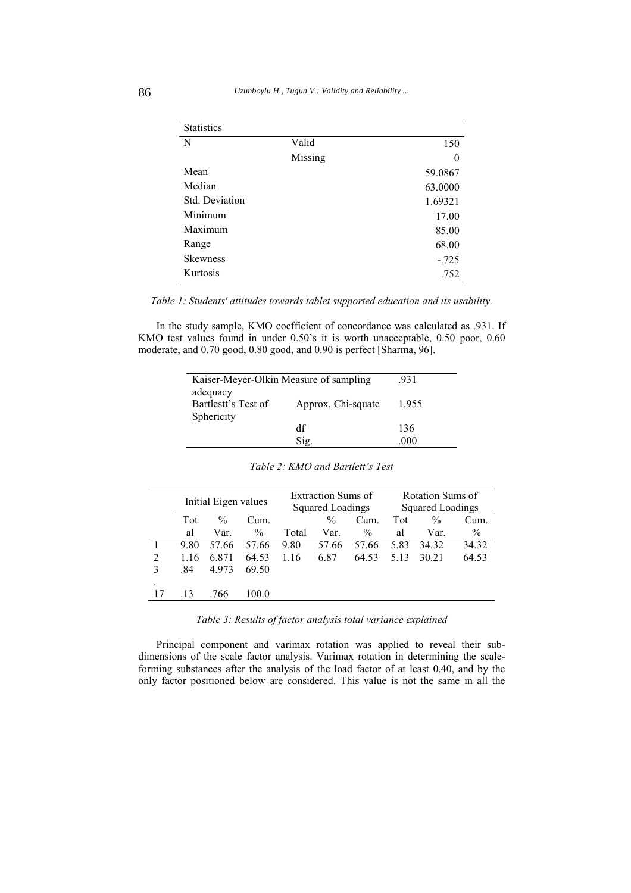| <b>Statistics</b> |         |          |
|-------------------|---------|----------|
| N                 | Valid   | 150      |
|                   | Missing | $\theta$ |
| Mean              |         | 59.0867  |
| Median            |         | 63.0000  |
| Std. Deviation    |         | 1.69321  |
| Minimum           |         | 17.00    |
| Maximum           |         | 85.00    |
| Range             |         | 68.00    |
| <b>Skewness</b>   |         | $-0.725$ |
| Kurtosis          |         | .752     |

*Table 1: Students' attitudes towards tablet supported education and its usability.*

In the study sample, KMO coefficient of concordance was calculated as .931. If KMO test values found in under 0.50's it is worth unacceptable, 0.50 poor, 0.60 moderate, and 0.70 good, 0.80 good, and 0.90 is perfect [Sharma, 96].

| Kaiser-Meyer-Olkin Measure of sampling        | .931               |      |  |
|-----------------------------------------------|--------------------|------|--|
| adequacy<br>Bartlestt's Test of<br>Sphericity | Approx. Chi-squate |      |  |
|                                               | df                 | 136  |  |
|                                               | Sig                | .000 |  |

|              | Initial Eigen values |               | <b>Extraction Sums of</b><br>Squared Loadings |       | Rotation Sums of<br>Squared Loadings |               |       |               |       |
|--------------|----------------------|---------------|-----------------------------------------------|-------|--------------------------------------|---------------|-------|---------------|-------|
|              | Tot                  | $\frac{0}{0}$ | Cum.                                          |       | $\frac{0}{0}$                        | Cum.          | Tot   | $\frac{0}{0}$ | Cum.  |
|              | al                   | Var.          | $\frac{0}{0}$                                 | Total | Var.                                 | $\frac{0}{0}$ | al    | Var.          | $\%$  |
|              | 9.80                 | 57.66         | 57.66                                         | 9.80  | 57.66                                | 57.66         | 5.83  | 34.32         | 34.32 |
| 2            | 1.16                 | 6.871         | 64.53                                         | 1.16  | 6.87                                 | 64.53         | 5 1 3 | 30 21         | 64.53 |
| $\mathbf{3}$ | .84                  | 4.973         | 69.50                                         |       |                                      |               |       |               |       |
|              |                      |               |                                               |       |                                      |               |       |               |       |
|              | .13                  | .766          | LOO 0                                         |       |                                      |               |       |               |       |

#### *Table 2: KMO and Bartlett's Test*

*Table 3: Results of factor analysis total variance explained* 

Principal component and varimax rotation was applied to reveal their subdimensions of the scale factor analysis. Varimax rotation in determining the scaleforming substances after the analysis of the load factor of at least 0.40, and by the only factor positioned below are considered. This value is not the same in all the

j.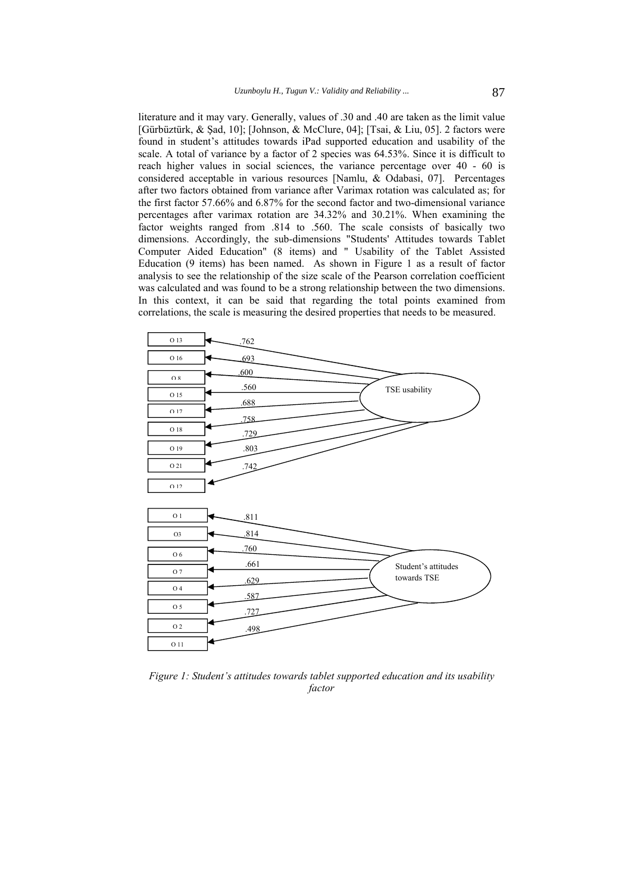literature and it may vary. Generally, values of .30 and .40 are taken as the limit value [Gürbüztürk, & Şad, 10]; [Johnson, & McClure, 04]; [Tsai, & Liu, 05]. 2 factors were found in student's attitudes towards iPad supported education and usability of the scale. A total of variance by a factor of 2 species was 64.53%. Since it is difficult to reach higher values in social sciences, the variance percentage over 40 - 60 is considered acceptable in various resources [Namlu, & Odabasi, 07]. Percentages after two factors obtained from variance after Varimax rotation was calculated as; for the first factor 57.66% and 6.87% for the second factor and two-dimensional variance percentages after varimax rotation are 34.32% and 30.21%. When examining the factor weights ranged from .814 to .560. The scale consists of basically two dimensions. Accordingly, the sub-dimensions "Students' Attitudes towards Tablet Computer Aided Education" (8 items) and " Usability of the Tablet Assisted Education (9 items) has been named. As shown in Figure 1 as a result of factor analysis to see the relationship of the size scale of the Pearson correlation coefficient was calculated and was found to be a strong relationship between the two dimensions. In this context, it can be said that regarding the total points examined from correlations, the scale is measuring the desired properties that needs to be measured.



*Figure 1: Student's attitudes towards tablet supported education and its usability factor*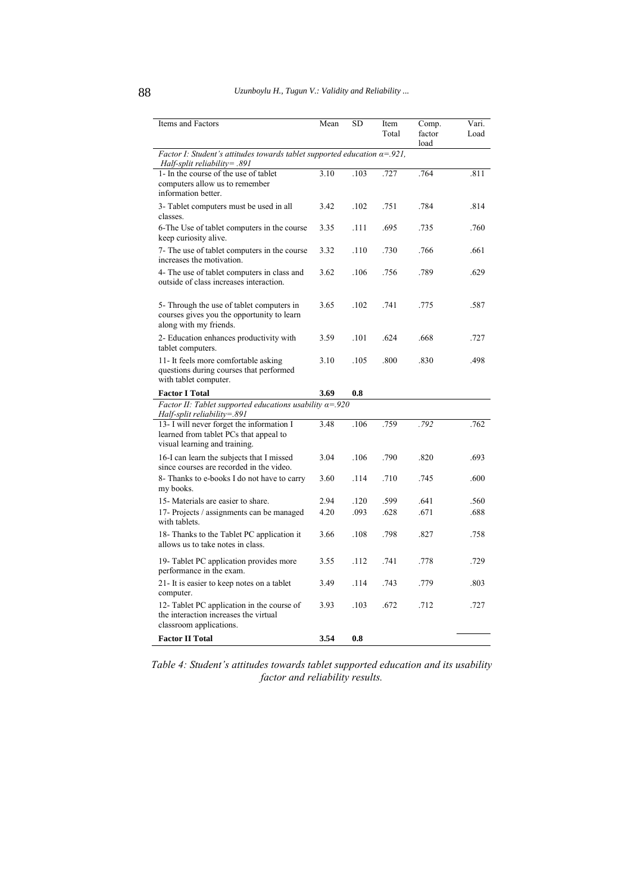| Items and Factors                                                                                                    | Mean | <b>SD</b> | Item<br>Total | Comp.<br>factor<br>load | Vari.<br>Load |
|----------------------------------------------------------------------------------------------------------------------|------|-----------|---------------|-------------------------|---------------|
| Factor I: Student's attitudes towards tablet supported education $\alpha = 0.921$ ,<br>Half-split reliability= .891  |      |           |               |                         |               |
| 1- In the course of the use of tablet<br>computers allow us to remember<br>information better.                       | 3.10 | .103      | .727          | .764                    | .811          |
| 3- Tablet computers must be used in all<br>classes.                                                                  | 3.42 | .102      | .751          | .784                    | .814          |
| 6-The Use of tablet computers in the course<br>keep curiosity alive.                                                 | 3.35 | .111      | .695          | .735                    | .760          |
| 7- The use of tablet computers in the course<br>increases the motivation.                                            | 3.32 | .110      | .730          | .766                    | .661          |
| 4- The use of tablet computers in class and<br>outside of class increases interaction.                               | 3.62 | .106      | .756          | .789                    | .629          |
| 5- Through the use of tablet computers in<br>courses gives you the opportunity to learn<br>along with my friends.    | 3.65 | .102      | .741          | .775                    | .587          |
| 2- Education enhances productivity with<br>tablet computers.                                                         | 3.59 | .101      | .624          | .668                    | .727          |
| 11- It feels more comfortable asking<br>questions during courses that performed<br>with tablet computer.             | 3.10 | .105      | .800          | .830                    | .498          |
| <b>Factor I Total</b>                                                                                                | 3.69 | 0.8       |               |                         |               |
| Factor II: Tablet supported educations usability $\alpha = 0.920$<br>$Half-split$ reliability=.891                   |      |           |               |                         |               |
| 13- I will never forget the information I<br>learned from tablet PCs that appeal to<br>visual learning and training. | 3.48 | .106      | .759          | .792                    | .762          |
| 16-I can learn the subjects that I missed<br>since courses are recorded in the video.                                | 3.04 | .106      | .790          | .820                    | .693          |
| 8- Thanks to e-books I do not have to carry<br>my books.                                                             | 3.60 | .114      | .710          | .745                    | .600          |
| 15- Materials are easier to share.                                                                                   | 2.94 | .120      | .599          | .641                    | .560          |
| 17- Projects / assignments can be managed<br>with tablets.                                                           | 4.20 | .093      | .628          | .671                    | .688          |
| 18- Thanks to the Tablet PC application it<br>allows us to take notes in class.                                      | 3.66 | .108      | .798          | .827                    | .758          |
| 19- Tablet PC application provides more<br>performance in the exam.                                                  | 3.55 | .112      | .741          | .778                    | .729          |
| 21- It is easier to keep notes on a tablet<br>computer.                                                              | 3.49 | .114      | .743          | .779                    | .803          |
| 12- Tablet PC application in the course of<br>the interaction increases the virtual<br>classroom applications.       | 3.93 | .103      | .672          | .712                    | .727          |
| <b>Factor II Total</b>                                                                                               | 3.54 | 0.8       |               |                         |               |

*Table 4: Student's attitudes towards tablet supported education and its usability factor and reliability results.*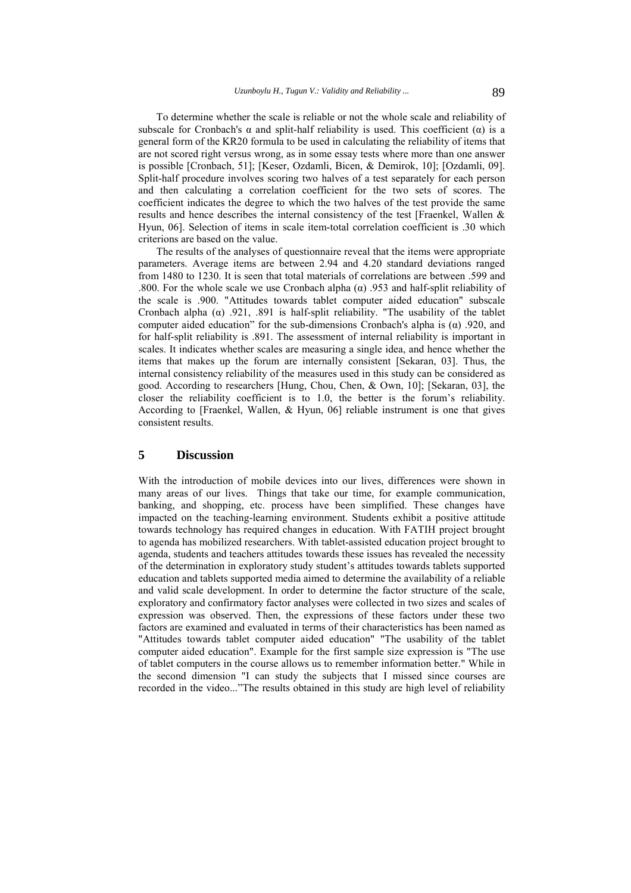To determine whether the scale is reliable or not the whole scale and reliability of subscale for Cronbach's  $\alpha$  and split-half reliability is used. This coefficient  $(\alpha)$  is a general form of the KR20 formula to be used in calculating the reliability of items that are not scored right versus wrong, as in some essay tests where more than one answer is possible [Cronbach, 51]; [Keser, Ozdamli, Bicen, & Demirok, 10]; [Ozdamli, 09]. Split-half procedure involves scoring two halves of a test separately for each person and then calculating a correlation coefficient for the two sets of scores. The coefficient indicates the degree to which the two halves of the test provide the same results and hence describes the internal consistency of the test [Fraenkel, Wallen & Hyun, 06]. Selection of items in scale item-total correlation coefficient is .30 which criterions are based on the value.

The results of the analyses of questionnaire reveal that the items were appropriate parameters. Average items are between 2.94 and 4.20 standard deviations ranged from 1480 to 1230. It is seen that total materials of correlations are between .599 and .800. For the whole scale we use Cronbach alpha (α) .953 and half-split reliability of the scale is .900. "Attitudes towards tablet computer aided education" subscale Cronbach alpha ( $\alpha$ ) .921, .891 is half-split reliability. "The usability of the tablet computer aided education" for the sub-dimensions Cronbach's alpha is  $(\alpha)$ . 920, and for half-split reliability is .891. The assessment of internal reliability is important in scales. It indicates whether scales are measuring a single idea, and hence whether the items that makes up the forum are internally consistent [Sekaran, 03]. Thus, the internal consistency reliability of the measures used in this study can be considered as good. According to researchers [Hung, Chou, Chen, & Own, 10]; [Sekaran, 03], the closer the reliability coefficient is to 1.0, the better is the forum's reliability. According to [Fraenkel, Wallen, & Hyun, 06] reliable instrument is one that gives consistent results.

#### **5 Discussion**

With the introduction of mobile devices into our lives, differences were shown in many areas of our lives. Things that take our time, for example communication, banking, and shopping, etc. process have been simplified. These changes have impacted on the teaching-learning environment. Students exhibit a positive attitude towards technology has required changes in education. With FATIH project brought to agenda has mobilized researchers. With tablet-assisted education project brought to agenda, students and teachers attitudes towards these issues has revealed the necessity of the determination in exploratory study student's attitudes towards tablets supported education and tablets supported media aimed to determine the availability of a reliable and valid scale development. In order to determine the factor structure of the scale, exploratory and confirmatory factor analyses were collected in two sizes and scales of expression was observed. Then, the expressions of these factors under these two factors are examined and evaluated in terms of their characteristics has been named as "Attitudes towards tablet computer aided education" "The usability of the tablet computer aided education". Example for the first sample size expression is "The use of tablet computers in the course allows us to remember information better." While in the second dimension "I can study the subjects that I missed since courses are recorded in the video..."The results obtained in this study are high level of reliability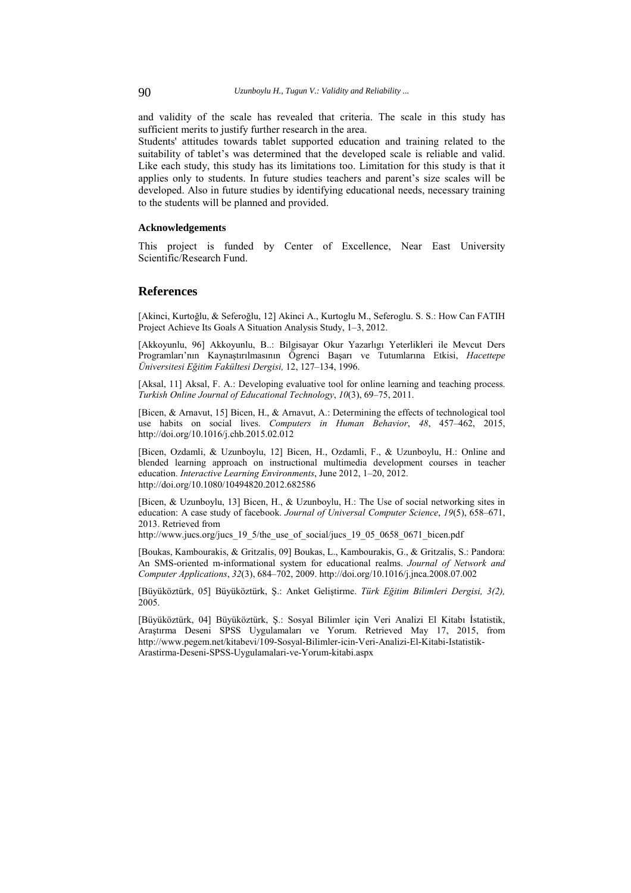and validity of the scale has revealed that criteria. The scale in this study has sufficient merits to justify further research in the area.

Students' attitudes towards tablet supported education and training related to the suitability of tablet's was determined that the developed scale is reliable and valid. Like each study, this study has its limitations too. Limitation for this study is that it applies only to students. In future studies teachers and parent's size scales will be developed. Also in future studies by identifying educational needs, necessary training to the students will be planned and provided.

#### **Acknowledgements**

This project is funded by Center of Excellence, Near East University Scientific/Research Fund.

#### **References**

[Akinci, Kurtoğlu, & Seferoğlu, 12] Akinci A., Kurtoglu M., Seferoglu. S. S.: How Can FATIH Project Achieve Its Goals A Situation Analysis Study, 1–3, 2012.

[Akkoyunlu, 96] Akkoyunlu, B..: Bilgisayar Okur Yazarlıgı Yeterlikleri ile Mevcut Ders Programları'nın Kaynaştırılmasının Ögrenci Başarı ve Tutumlarına Etkisi, *Hacettepe Üniversitesi Eğitim Fakültesi Dergisi,* 12, 127–134, 1996.

[Aksal, 11] Aksal, F. A.: Developing evaluative tool for online learning and teaching process. *Turkish Online Journal of Educational Technology*, *10*(3), 69–75, 2011.

[Bicen, & Arnavut, 15] Bicen, H., & Arnavut, A.: Determining the effects of technological tool use habits on social lives. *Computers in Human Behavior*, *48*, 457–462, 2015, http://doi.org/10.1016/j.chb.2015.02.012

[Bicen, Ozdamli, & Uzunboylu, 12] Bicen, H., Ozdamli, F., & Uzunboylu, H.: Online and blended learning approach on instructional multimedia development courses in teacher education. *Interactive Learning Environments*, June 2012, 1–20, 2012. http://doi.org/10.1080/10494820.2012.682586

[Bicen, & Uzunboylu, 13] Bicen, H., & Uzunboylu, H.: The Use of social networking sites in education: A case study of facebook. *Journal of Universal Computer Science*, *19*(5), 658–671, 2013. Retrieved from

http://www.jucs.org/jucs\_19\_5/the\_use\_of\_social/jucs\_19\_05\_0658\_0671\_bicen.pdf

[Boukas, Kambourakis, & Gritzalis, 09] Boukas, L., Kambourakis, G., & Gritzalis, S.: Pandora: An SMS-oriented m-informational system for educational realms. *Journal of Network and Computer Applications*, *32*(3), 684–702, 2009. http://doi.org/10.1016/j.jnca.2008.07.002

[Büyüköztürk, 05] Büyüköztürk, Ş.: Anket Geliştirme. *Türk Eğitim Bilimleri Dergisi, 3(2),*  2005.

[Büyüköztürk, 04] Büyüköztürk, Ş.: Sosyal Bilimler için Veri Analizi El Kitabı İstatistik, Araştırma Deseni SPSS Uygulamaları ve Yorum. Retrieved May 17, 2015, from http://www.pegem.net/kitabevi/109-Sosyal-Bilimler-icin-Veri-Analizi-El-Kitabi-Istatistik-Arastirma-Deseni-SPSS-Uygulamalari-ve-Yorum-kitabi.aspx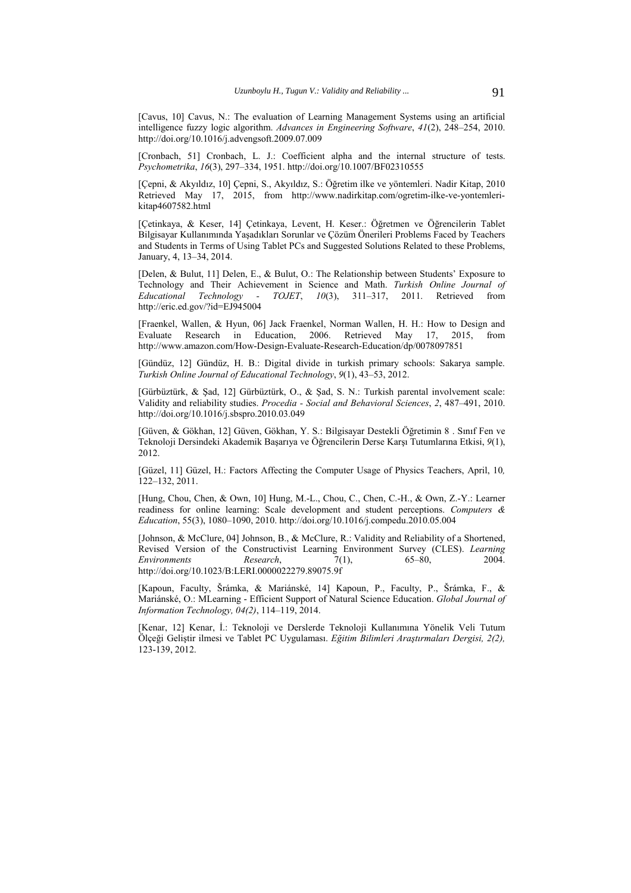[Cavus, 10] Cavus, N.: The evaluation of Learning Management Systems using an artificial intelligence fuzzy logic algorithm. *Advances in Engineering Software*, *41*(2), 248–254, 2010. http://doi.org/10.1016/j.advengsoft.2009.07.009

[Cronbach, 51] Cronbach, L. J.: Coefficient alpha and the internal structure of tests. *Psychometrika*, *16*(3), 297–334, 1951. http://doi.org/10.1007/BF02310555

[Çepni, & Akyıldız, 10] Çepni, S., Akyıldız, S.: Öğretim ilke ve yöntemleri. Nadir Kitap, 2010 Retrieved May 17, 2015, from http://www.nadirkitap.com/ogretim-ilke-ve-yontemlerikitap4607582.html

[Çetinkaya, & Keser, 14] Çetinkaya, Levent, H. Keser.: Öğretmen ve Öğrencilerin Tablet Bilgisayar Kullanımında Yaşadıkları Sorunlar ve Çözüm Önerileri Problems Faced by Teachers and Students in Terms of Using Tablet PCs and Suggested Solutions Related to these Problems, January, 4, 13–34, 2014.

[Delen, & Bulut, 11] Delen, E., & Bulut, O.: The Relationship between Students' Exposure to Technology and Their Achievement in Science and Math. *Turkish Online Journal of Educational Technology - TOJET*, *10*(3), 311–317, 2011. Retrieved from http://eric.ed.gov/?id=EJ945004

[Fraenkel, Wallen, & Hyun, 06] Jack Fraenkel, Norman Wallen, H. H.: How to Design and Evaluate Research in Education, 2006. Retrieved May 17, 2015, from http://www.amazon.com/How-Design-Evaluate-Research-Education/dp/0078097851

[Gündüz, 12] Gündüz, H. B.: Digital divide in turkish primary schools: Sakarya sample. *Turkish Online Journal of Educational Technology*, *9*(1), 43–53, 2012.

[Gürbüztürk, & Şad, 12] Gürbüztürk, O., & Şad, S. N.: Turkish parental involvement scale: Validity and reliability studies. *Procedia - Social and Behavioral Sciences*, *2*, 487–491, 2010. http://doi.org/10.1016/j.sbspro.2010.03.049

[Güven, & Gökhan, 12] Güven, Gökhan, Y. S.: Bilgisayar Destekli Öğretimin 8 . Sınıf Fen ve Teknoloji Dersindeki Akademik Başarıya ve Öğrencilerin Derse Karşı Tutumlarına Etkisi, *9*(1), 2012.

[Güzel, 11] Güzel, H.: Factors Affecting the Computer Usage of Physics Teachers, April, 10*,* 122–132, 2011.

[Hung, Chou, Chen, & Own, 10] Hung, M.-L., Chou, C., Chen, C.-H., & Own, Z.-Y.: Learner readiness for online learning: Scale development and student perceptions. *Computers & Education*, 55(3), 1080–1090, 2010. http://doi.org/10.1016/j.compedu.2010.05.004

[Johnson, & McClure, 04] Johnson, B., & McClure, R.: Validity and Reliability of a Shortened, Revised Version of the Constructivist Learning Environment Survey (CLES). *Learning Environments Research*, 7(1), 65–80, 2004. http://doi.org/10.1023/B:LERI.0000022279.89075.9f

[Kapoun, Faculty, Šrámka, & Mariánské, 14] Kapoun, P., Faculty, P., Šrámka, F., & Mariánské, O.: MLearning - Efficient Support of Natural Science Education. *Global Journal of Information Technology, 04(2)*, 114–119, 2014.

[Kenar, 12] Kenar, İ.: Teknoloji ve Derslerde Teknoloji Kullanımına Yönelik Veli Tutum Ölçeği Geliştir ilmesi ve Tablet PC Uygulaması. *Eğitim Bilimleri Araştırmaları Dergisi, 2(2),*  123-139, 2012.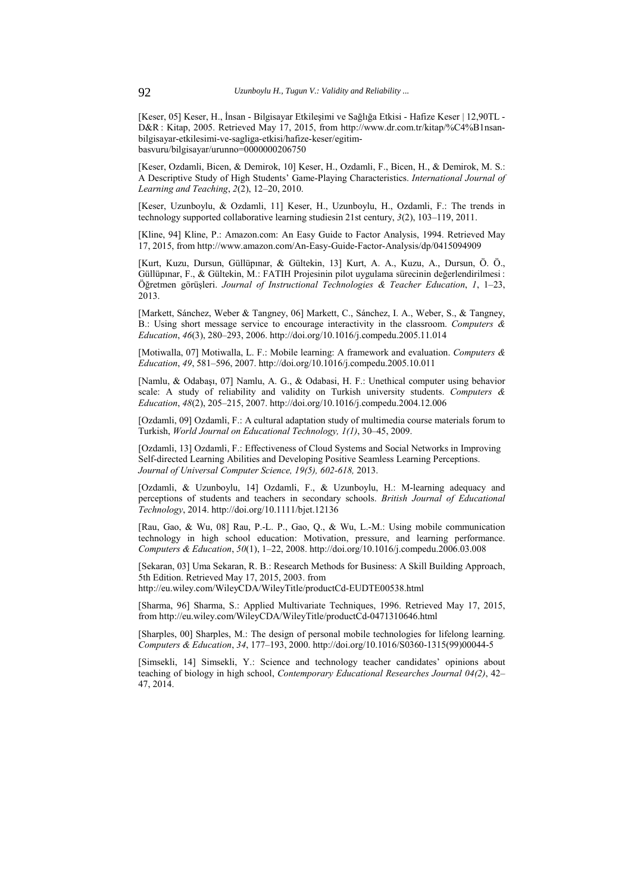[Keser, 05] Keser, H., İnsan - Bilgisayar Etkileşimi ve Sağlığa Etkisi - Hafize Keser | 12,90TL - D&R : Kitap, 2005. Retrieved May 17, 2015, from http://www.dr.com.tr/kitap/%C4%B1nsanbilgisayar-etkilesimi-ve-sagliga-etkisi/hafize-keser/egitimbasvuru/bilgisayar/urunno=0000000206750

[Keser, Ozdamli, Bicen, & Demirok, 10] Keser, H., Ozdamli, F., Bicen, H., & Demirok, M. S.: A Descriptive Study of High Students' Game-Playing Characteristics. *International Journal of Learning and Teaching*, *2*(2), 12–20, 2010.

[Keser, Uzunboylu, & Ozdamli, 11] Keser, H., Uzunboylu, H., Ozdamli, F.: The trends in technology supported collaborative learning studiesin 21st century, *3*(2), 103–119, 2011.

[Kline, 94] Kline, P.: Amazon.com: An Easy Guide to Factor Analysis, 1994. Retrieved May 17, 2015, from http://www.amazon.com/An-Easy-Guide-Factor-Analysis/dp/0415094909

[Kurt, Kuzu, Dursun, Güllüpınar, & Gültekin, 13] Kurt, A. A., Kuzu, A., Dursun, Ö. Ö., Güllüpınar, F., & Gültekin, M.: FATIH Projesinin pilot uygulama sürecinin değerlendirilmesi : Öğretmen görüşleri. *Journal of Instructional Technologies & Teacher Education*, *1*, 1–23, 2013.

[Markett, Sánchez, Weber & Tangney, 06] Markett, C., Sánchez, I. A., Weber, S., & Tangney, B.: Using short message service to encourage interactivity in the classroom. *Computers & Education*, *46*(3), 280–293, 2006. http://doi.org/10.1016/j.compedu.2005.11.014

[Motiwalla, 07] Motiwalla, L. F.: Mobile learning: A framework and evaluation. *Computers & Education*, *49*, 581–596, 2007. http://doi.org/10.1016/j.compedu.2005.10.011

[Namlu, & Odabaşı, 07] Namlu, A. G., & Odabasi, H. F.: Unethical computer using behavior scale: A study of reliability and validity on Turkish university students. *Computers & Education*, *48*(2), 205–215, 2007. http://doi.org/10.1016/j.compedu.2004.12.006

[Ozdamli, 09] Ozdamli, F.: A cultural adaptation study of multimedia course materials forum to Turkish, *World Journal on Educational Technology, 1(1)*, 30–45, 2009.

[Ozdamli, 13] Ozdamli, F.: Effectiveness of Cloud Systems and Social Networks in Improving Self-directed Learning Abilities and Developing Positive Seamless Learning Perceptions. *Journal of Universal Computer Science, 19(5), 602-618,* 2013.

[Ozdamli, & Uzunboylu, 14] Ozdamli, F., & Uzunboylu, H.: M-learning adequacy and perceptions of students and teachers in secondary schools. *British Journal of Educational Technology*, 2014. http://doi.org/10.1111/bjet.12136

[Rau, Gao, & Wu, 08] Rau, P.-L. P., Gao, Q., & Wu, L.-M.: Using mobile communication technology in high school education: Motivation, pressure, and learning performance. *Computers & Education*, *50*(1), 1–22, 2008. http://doi.org/10.1016/j.compedu.2006.03.008

[Sekaran, 03] Uma Sekaran, R. B.: Research Methods for Business: A Skill Building Approach, 5th Edition. Retrieved May 17, 2015, 2003. from

http://eu.wiley.com/WileyCDA/WileyTitle/productCd-EUDTE00538.html

[Sharma, 96] Sharma, S.: Applied Multivariate Techniques, 1996. Retrieved May 17, 2015, from http://eu.wiley.com/WileyCDA/WileyTitle/productCd-0471310646.html

[Sharples, 00] Sharples, M.: The design of personal mobile technologies for lifelong learning. *Computers & Education*, *34*, 177–193, 2000. http://doi.org/10.1016/S0360-1315(99)00044-5

[Simsekli, 14] Simsekli, Y.: Science and technology teacher candidates' opinions about teaching of biology in high school, *Contemporary Educational Researches Journal 04(2)*, 42– 47, 2014.